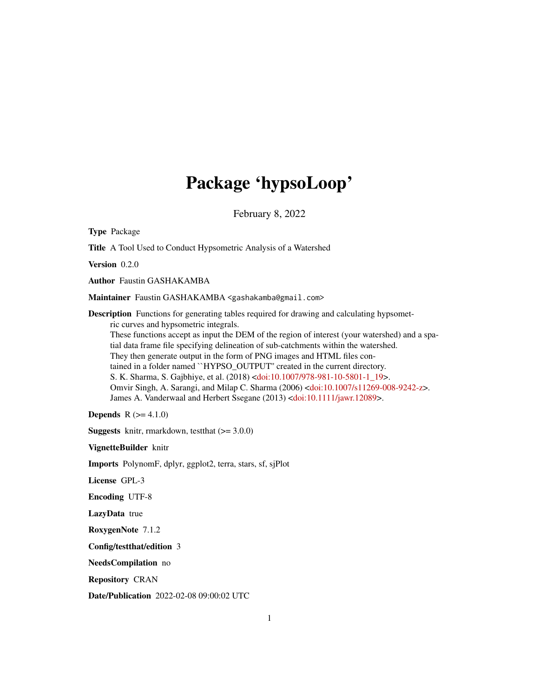# Package 'hypsoLoop'

February 8, 2022

<span id="page-0-0"></span>Type Package Title A Tool Used to Conduct Hypsometric Analysis of a Watershed Version 0.2.0 Author Faustin GASHAKAMBA Maintainer Faustin GASHAKAMBA <gashakamba@gmail.com> Description Functions for generating tables required for drawing and calculating hypsometric curves and hypsometric integrals. These functions accept as input the DEM of the region of interest (your watershed) and a spatial data frame file specifying delineation of sub-catchments within the watershed. They then generate output in the form of PNG images and HTML files contained in a folder named ``HYPSO\_OUTPUT'' created in the current directory. S. K. Sharma, S. Gajbhiye, et al. (2018) [<doi:10.1007/978-981-10-5801-1\\_19>](https://doi.org/10.1007/978-981-10-5801-1_19). Omvir Singh, A. Sarangi, and Milap C. Sharma (2006) [<doi:10.1007/s11269-008-9242-z>](https://doi.org/10.1007/s11269-008-9242-z). James A. Vanderwaal and Herbert Ssegane (2013) [<doi:10.1111/jawr.12089>](https://doi.org/10.1111/jawr.12089). **Depends**  $R (= 4.1.0)$ 

**Suggests** knitr, rmarkdown, test that  $(>= 3.0.0)$ 

VignetteBuilder knitr

Imports PolynomF, dplyr, ggplot2, terra, stars, sf, sjPlot

License GPL-3

Encoding UTF-8

LazyData true

RoxygenNote 7.1.2

Config/testthat/edition 3

NeedsCompilation no

Repository CRAN

Date/Publication 2022-02-08 09:00:02 UTC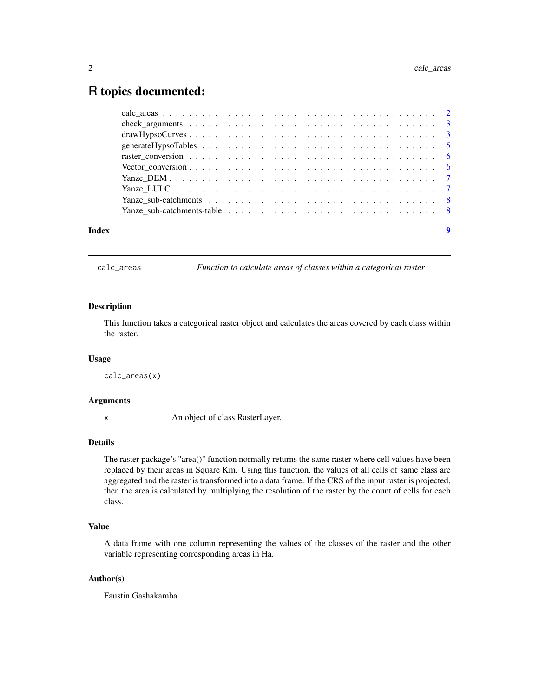# <span id="page-1-0"></span>R topics documented:

| $drawHypsoCurves3$ |  |  |  |  |  |  |  |  |  |  |  |  |  |  |  |
|--------------------|--|--|--|--|--|--|--|--|--|--|--|--|--|--|--|
|                    |  |  |  |  |  |  |  |  |  |  |  |  |  |  |  |
|                    |  |  |  |  |  |  |  |  |  |  |  |  |  |  |  |
|                    |  |  |  |  |  |  |  |  |  |  |  |  |  |  |  |
|                    |  |  |  |  |  |  |  |  |  |  |  |  |  |  |  |
|                    |  |  |  |  |  |  |  |  |  |  |  |  |  |  |  |
|                    |  |  |  |  |  |  |  |  |  |  |  |  |  |  |  |
|                    |  |  |  |  |  |  |  |  |  |  |  |  |  |  |  |
|                    |  |  |  |  |  |  |  |  |  |  |  |  |  |  |  |

calc\_areas *Function to calculate areas of classes within a categorical raster*

# Description

This function takes a categorical raster object and calculates the areas covered by each class within the raster.

# Usage

calc\_areas(x)

#### Arguments

x An object of class RasterLayer.

# Details

The raster package's "area()" function normally returns the same raster where cell values have been replaced by their areas in Square Km. Using this function, the values of all cells of same class are aggregated and the raster is transformed into a data frame. If the CRS of the input raster is projected, then the area is calculated by multiplying the resolution of the raster by the count of cells for each class.

# Value

A data frame with one column representing the values of the classes of the raster and the other variable representing corresponding areas in Ha.

#### Author(s)

Faustin Gashakamba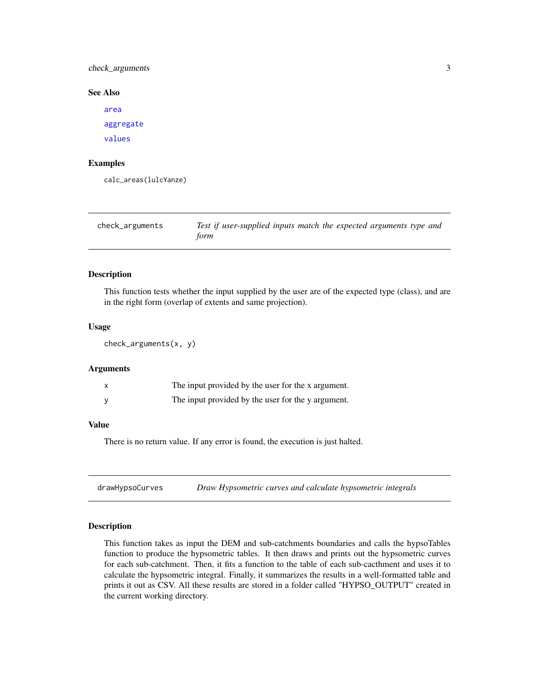<span id="page-2-0"></span>check\_arguments 3

#### See Also

[area](#page-0-0) [aggregate](#page-0-0) [values](#page-0-0)

# Examples

calc\_areas(lulcYanze)

| check_arguments | Test if user-supplied inputs match the expected arguments type and |
|-----------------|--------------------------------------------------------------------|
|                 | form                                                               |

### Description

This function tests whether the input supplied by the user are of the expected type (class), and are in the right form (overlap of extents and same projection).

#### Usage

check\_arguments(x, y)

#### Arguments

| The input provided by the user for the x argument. |
|----------------------------------------------------|
| The input provided by the user for the y argument. |

#### Value

There is no return value. If any error is found, the execution is just halted.

drawHypsoCurves *Draw Hypsometric curves and calculate hypsometric integrals*

#### Description

This function takes as input the DEM and sub-catchments boundaries and calls the hypsoTables function to produce the hypsometric tables. It then draws and prints out the hypsometric curves for each sub-catchment. Then, it fits a function to the table of each sub-cacthment and uses it to calculate the hypsometric integral. Finally, it summarizes the results in a well-formatted table and prints it out as CSV. All these results are stored in a folder called "HYPSO\_OUTPUT" created in the current working directory.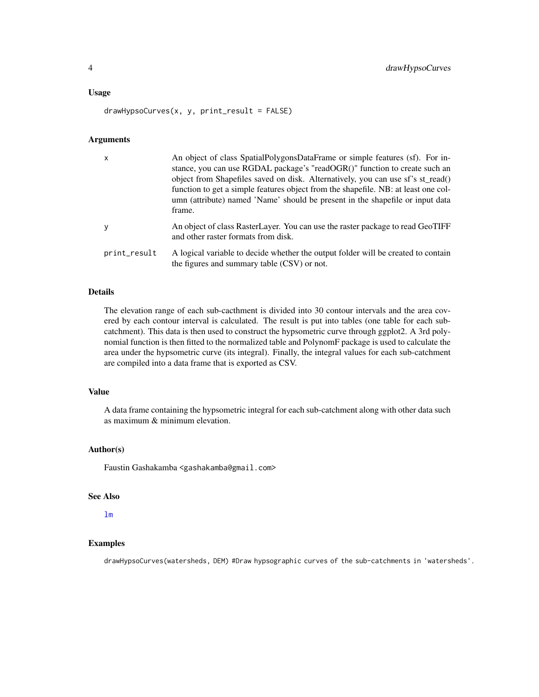#### <span id="page-3-0"></span>Usage

drawHypsoCurves(x, y, print\_result = FALSE)

# Arguments

| X            | An object of class SpatialPolygonsDataFrame or simple features (sf). For in-<br>stance, you can use RGDAL package's "readOGR()" function to create such an<br>object from Shapefiles saved on disk. Alternatively, you can use sf's st_read()<br>function to get a simple features object from the shapefile. NB: at least one col-<br>umn (attribute) named 'Name' should be present in the shapefile or input data<br>frame. |
|--------------|--------------------------------------------------------------------------------------------------------------------------------------------------------------------------------------------------------------------------------------------------------------------------------------------------------------------------------------------------------------------------------------------------------------------------------|
| y            | An object of class RasterLayer. You can use the raster package to read GeoTIFF<br>and other raster formats from disk.                                                                                                                                                                                                                                                                                                          |
| print_result | A logical variable to decide whether the output folder will be created to contain<br>the figures and summary table (CSV) or not.                                                                                                                                                                                                                                                                                               |

#### Details

The elevation range of each sub-cacthment is divided into 30 contour intervals and the area covered by each contour interval is calculated. The result is put into tables (one table for each subcatchment). This data is then used to construct the hypsometric curve through ggplot2. A 3rd polynomial function is then fitted to the normalized table and PolynomF package is used to calculate the area under the hypsometric curve (its integral). Finally, the integral values for each sub-catchment are compiled into a data frame that is exported as CSV.

#### Value

A data frame containing the hypsometric integral for each sub-catchment along with other data such as maximum & minimum elevation.

# Author(s)

Faustin Gashakamba <gashakamba@gmail.com>

#### See Also

# [lm](#page-0-0)

# Examples

drawHypsoCurves(watersheds, DEM) #Draw hypsographic curves of the sub-catchments in 'watersheds'.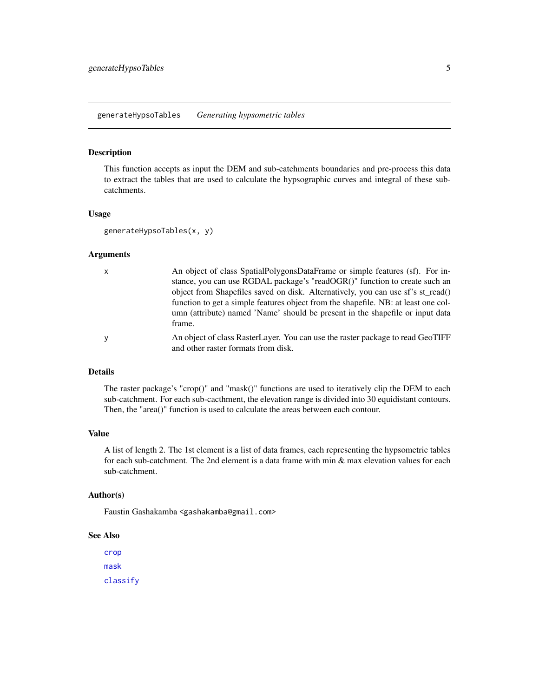#### <span id="page-4-0"></span>Description

This function accepts as input the DEM and sub-catchments boundaries and pre-process this data to extract the tables that are used to calculate the hypsographic curves and integral of these subcatchments.

# Usage

```
generateHypsoTables(x, y)
```
#### Arguments

| X | An object of class SpatialPolygonsDataFrame or simple features (sf). For in-            |
|---|-----------------------------------------------------------------------------------------|
|   | stance, you can use RGDAL package's "readOGR()" function to create such an              |
|   | object from Shapefiles saved on disk. Alternatively, you can use sf's st_read()         |
|   | function to get a simple features object from the shapefile. NB: at least one col-      |
|   | umn (attribute) named 'Name' should be present in the shapefile or input data<br>frame. |
|   | An object of class RasterLayer. You can use the raster package to read GeoTIFF          |
|   | and other raster formats from disk.                                                     |

# Details

The raster package's "crop()" and "mask()" functions are used to iteratively clip the DEM to each sub-catchment. For each sub-cacthment, the elevation range is divided into 30 equidistant contours. Then, the "area()" function is used to calculate the areas between each contour.

### Value

A list of length 2. The 1st element is a list of data frames, each representing the hypsometric tables for each sub-catchment. The 2nd element is a data frame with min & max elevation values for each sub-catchment.

#### Author(s)

Faustin Gashakamba <gashakamba@gmail.com>

#### See Also

[crop](#page-0-0) [mask](#page-0-0) [classify](#page-0-0)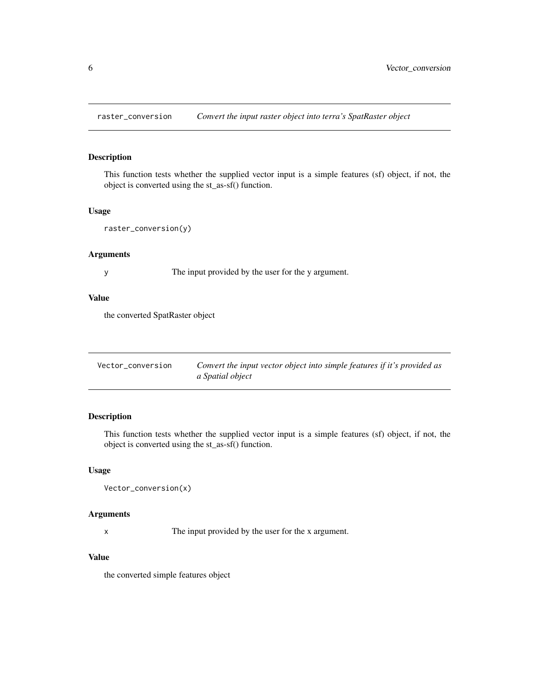<span id="page-5-0"></span>raster\_conversion *Convert the input raster object into terra's SpatRaster object*

# Description

This function tests whether the supplied vector input is a simple features (sf) object, if not, the object is converted using the st\_as-sf() function.

#### Usage

```
raster_conversion(y)
```
### Arguments

y The input provided by the user for the y argument.

# Value

the converted SpatRaster object

| Vector conversion | Convert the input vector object into simple features if it's provided as |
|-------------------|--------------------------------------------------------------------------|
|                   | a Spatial object                                                         |

# Description

This function tests whether the supplied vector input is a simple features (sf) object, if not, the object is converted using the st\_as-sf() function.

# Usage

```
Vector_conversion(x)
```
# Arguments

x The input provided by the user for the x argument.

# Value

the converted simple features object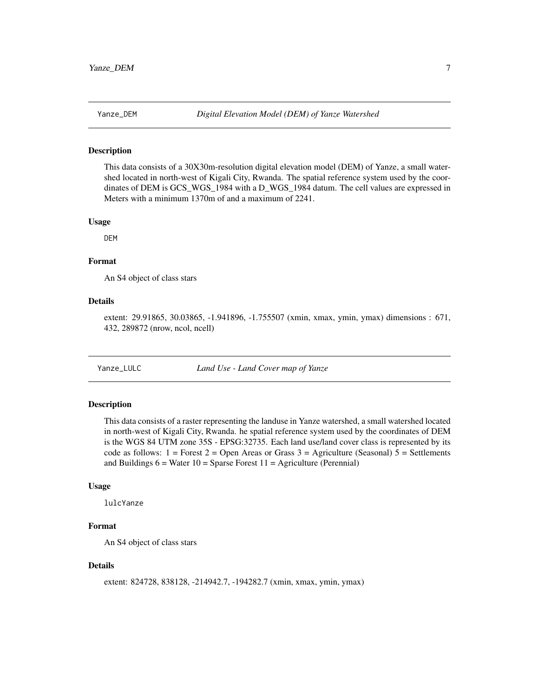### <span id="page-6-0"></span>Description

This data consists of a 30X30m-resolution digital elevation model (DEM) of Yanze, a small watershed located in north-west of Kigali City, Rwanda. The spatial reference system used by the coordinates of DEM is GCS\_WGS\_1984 with a D\_WGS\_1984 datum. The cell values are expressed in Meters with a minimum 1370m of and a maximum of 2241.

# Usage

DEM

# Format

An S4 object of class stars

#### Details

extent: 29.91865, 30.03865, -1.941896, -1.755507 (xmin, xmax, ymin, ymax) dimensions : 671, 432, 289872 (nrow, ncol, ncell)

Yanze\_LULC *Land Use - Land Cover map of Yanze*

#### Description

This data consists of a raster representing the landuse in Yanze watershed, a small watershed located in north-west of Kigali City, Rwanda. he spatial reference system used by the coordinates of DEM is the WGS 84 UTM zone 35S - EPSG:32735. Each land use/land cover class is represented by its code as follows:  $1 =$  Forest  $2 =$  Open Areas or Grass  $3 =$  Agriculture (Seasonal)  $5 =$  Settlements and Buildings  $6 = Water 10 = Sparse Forest 11 = Agriculture (Perennial)$ 

#### Usage

lulcYanze

# Format

An S4 object of class stars

# Details

extent: 824728, 838128, -214942.7, -194282.7 (xmin, xmax, ymin, ymax)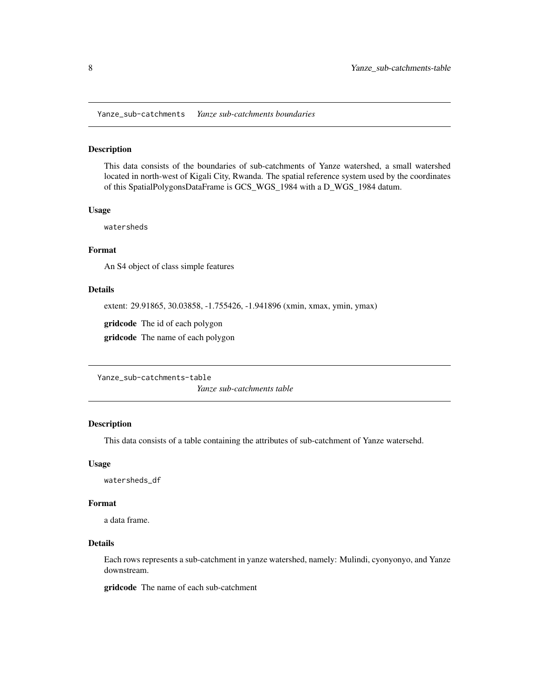<span id="page-7-0"></span>Yanze\_sub-catchments *Yanze sub-catchments boundaries*

# Description

This data consists of the boundaries of sub-catchments of Yanze watershed, a small watershed located in north-west of Kigali City, Rwanda. The spatial reference system used by the coordinates of this SpatialPolygonsDataFrame is GCS\_WGS\_1984 with a D\_WGS\_1984 datum.

#### Usage

watersheds

# Format

An S4 object of class simple features

# Details

extent: 29.91865, 30.03858, -1.755426, -1.941896 (xmin, xmax, ymin, ymax)

gridcode The id of each polygon

gridcode The name of each polygon

Yanze\_sub-catchments-table

*Yanze sub-catchments table*

## Description

This data consists of a table containing the attributes of sub-catchment of Yanze watersehd.

# Usage

watersheds\_df

# Format

a data frame.

# Details

Each rows represents a sub-catchment in yanze watershed, namely: Mulindi, cyonyonyo, and Yanze downstream.

gridcode The name of each sub-catchment